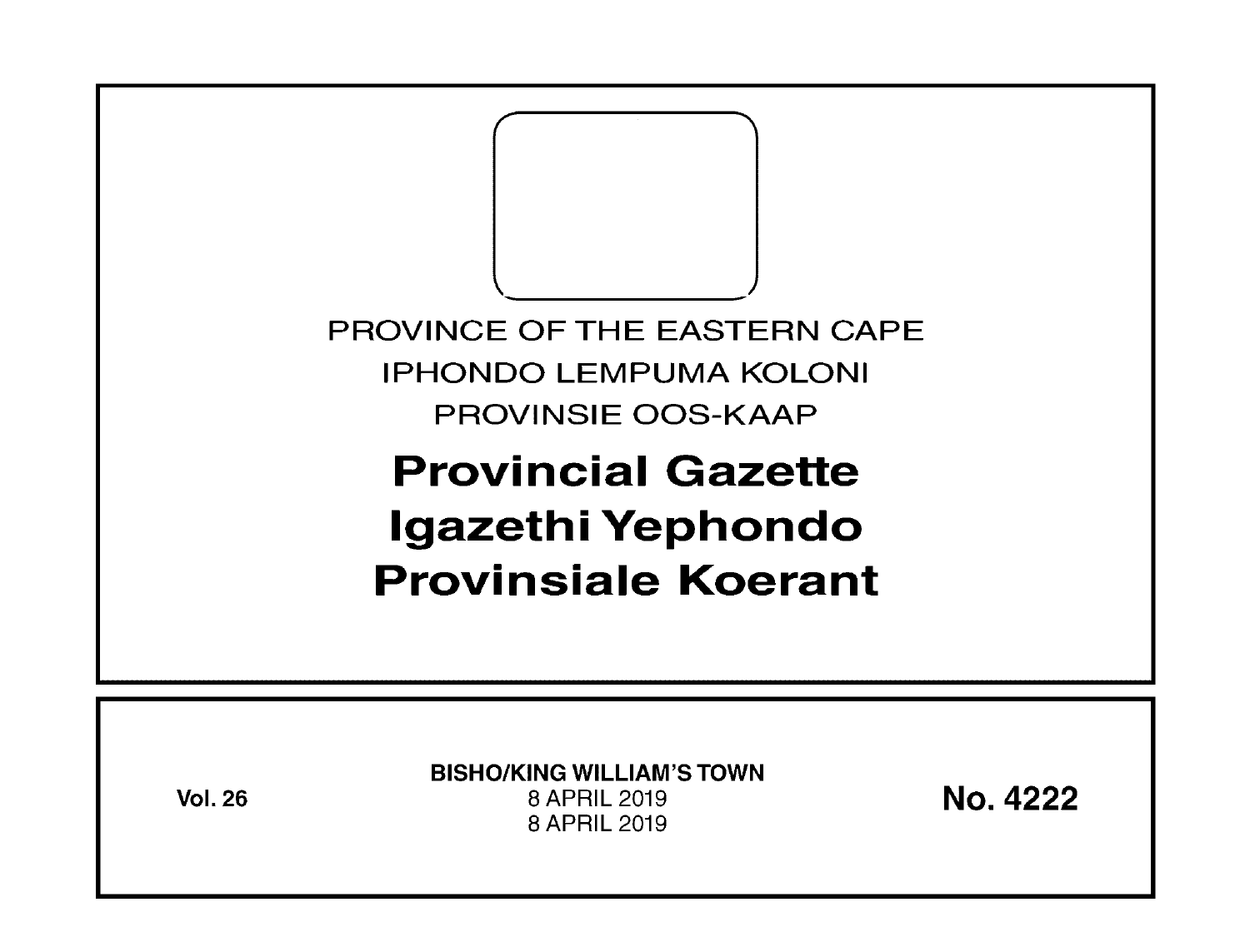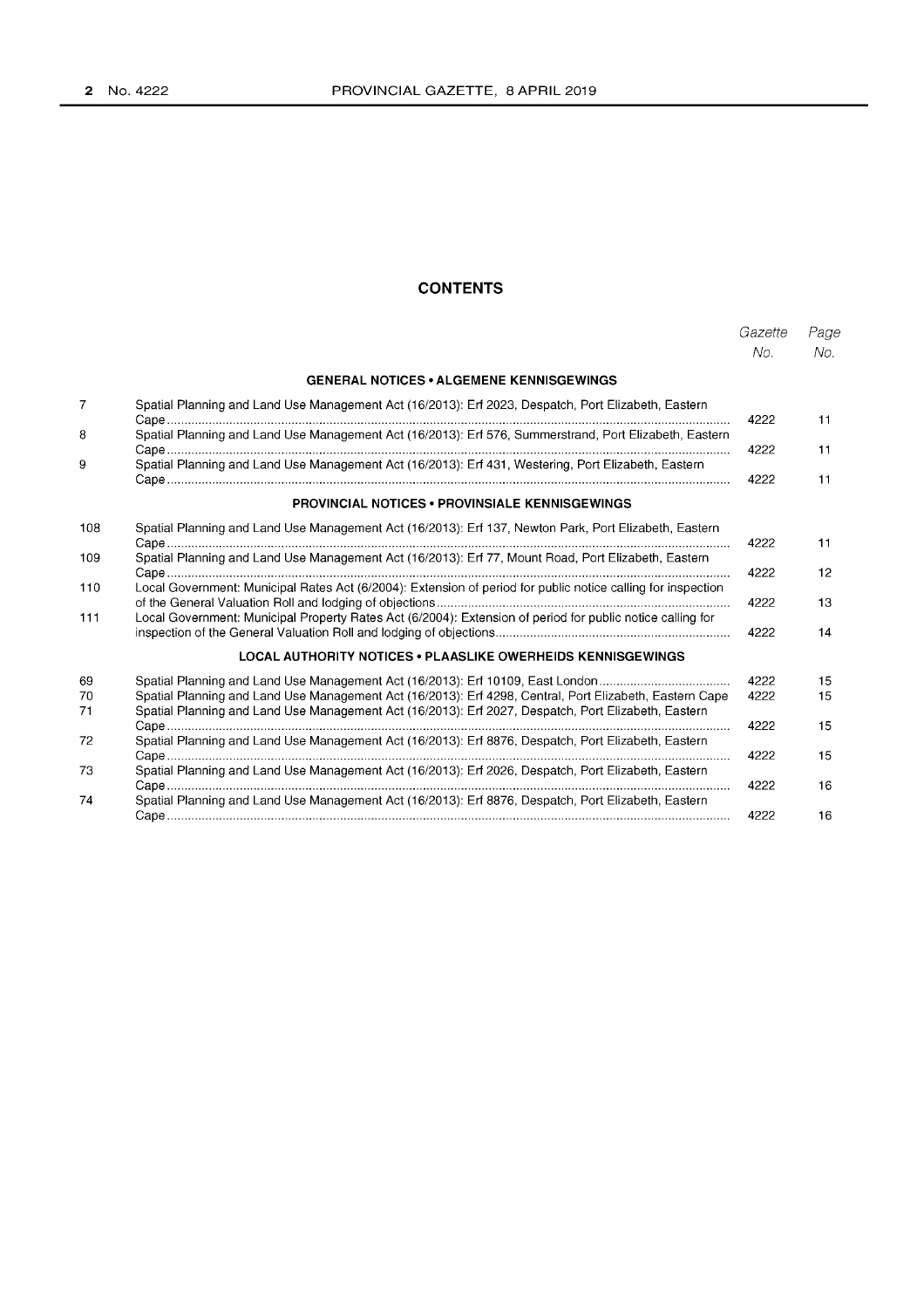# **CONTENTS**

|                |                                                                                                                                                                                                                                                                                                  | Gazette<br>No. | Page<br>No. |
|----------------|--------------------------------------------------------------------------------------------------------------------------------------------------------------------------------------------------------------------------------------------------------------------------------------------------|----------------|-------------|
|                | <b>GENERAL NOTICES • ALGEMENE KENNISGEWINGS</b>                                                                                                                                                                                                                                                  |                |             |
| 7              | Spatial Planning and Land Use Management Act (16/2013): Erf 2023, Despatch, Port Elizabeth, Eastern                                                                                                                                                                                              |                |             |
| 8              | Spatial Planning and Land Use Management Act (16/2013): Erf 576, Summerstrand, Port Elizabeth, Eastern                                                                                                                                                                                           | 4222<br>4222   | 11<br>11    |
| 9              | Spatial Planning and Land Use Management Act (16/2013): Erf 431, Westering, Port Elizabeth, Eastern                                                                                                                                                                                              | 4222           | 11          |
|                | <b>PROVINCIAL NOTICES • PROVINSIALE KENNISGEWINGS</b>                                                                                                                                                                                                                                            |                |             |
| 108            | Spatial Planning and Land Use Management Act (16/2013): Erf 137, Newton Park, Port Elizabeth, Eastern                                                                                                                                                                                            | 4222           | 11          |
| 109            | Spatial Planning and Land Use Management Act (16/2013): Erf 77, Mount Road, Port Elizabeth, Eastern                                                                                                                                                                                              | 4222           | 12          |
| 110            | Local Government: Municipal Rates Act (6/2004): Extension of period for public notice calling for inspection                                                                                                                                                                                     | 4222           | 13          |
| 111            | Local Government: Municipal Property Rates Act (6/2004): Extension of period for public notice calling for                                                                                                                                                                                       | 4222           | 14          |
|                | LOCAL AUTHORITY NOTICES . PLAASLIKE OWERHEIDS KENNISGEWINGS                                                                                                                                                                                                                                      |                |             |
| 69<br>70<br>71 | Spatial Planning and Land Use Management Act (16/2013): Erf 10109, East London<br>Spatial Planning and Land Use Management Act (16/2013): Erf 4298, Central, Port Elizabeth, Eastern Cape<br>Spatial Planning and Land Use Management Act (16/2013): Erf 2027, Despatch, Port Elizabeth, Eastern | 4222<br>4222   | 15<br>15    |
| 72             | Spatial Planning and Land Use Management Act (16/2013): Erf 8876, Despatch, Port Elizabeth, Eastern                                                                                                                                                                                              | 4222           | 15          |
| 73             | Spatial Planning and Land Use Management Act (16/2013): Erf 2026, Despatch, Port Elizabeth, Eastern                                                                                                                                                                                              | 4222<br>4222   | 15<br>16    |
| 74             | Spatial Planning and Land Use Management Act (16/2013): Erf 8876, Despatch, Port Elizabeth, Eastern                                                                                                                                                                                              | 4222           | 16          |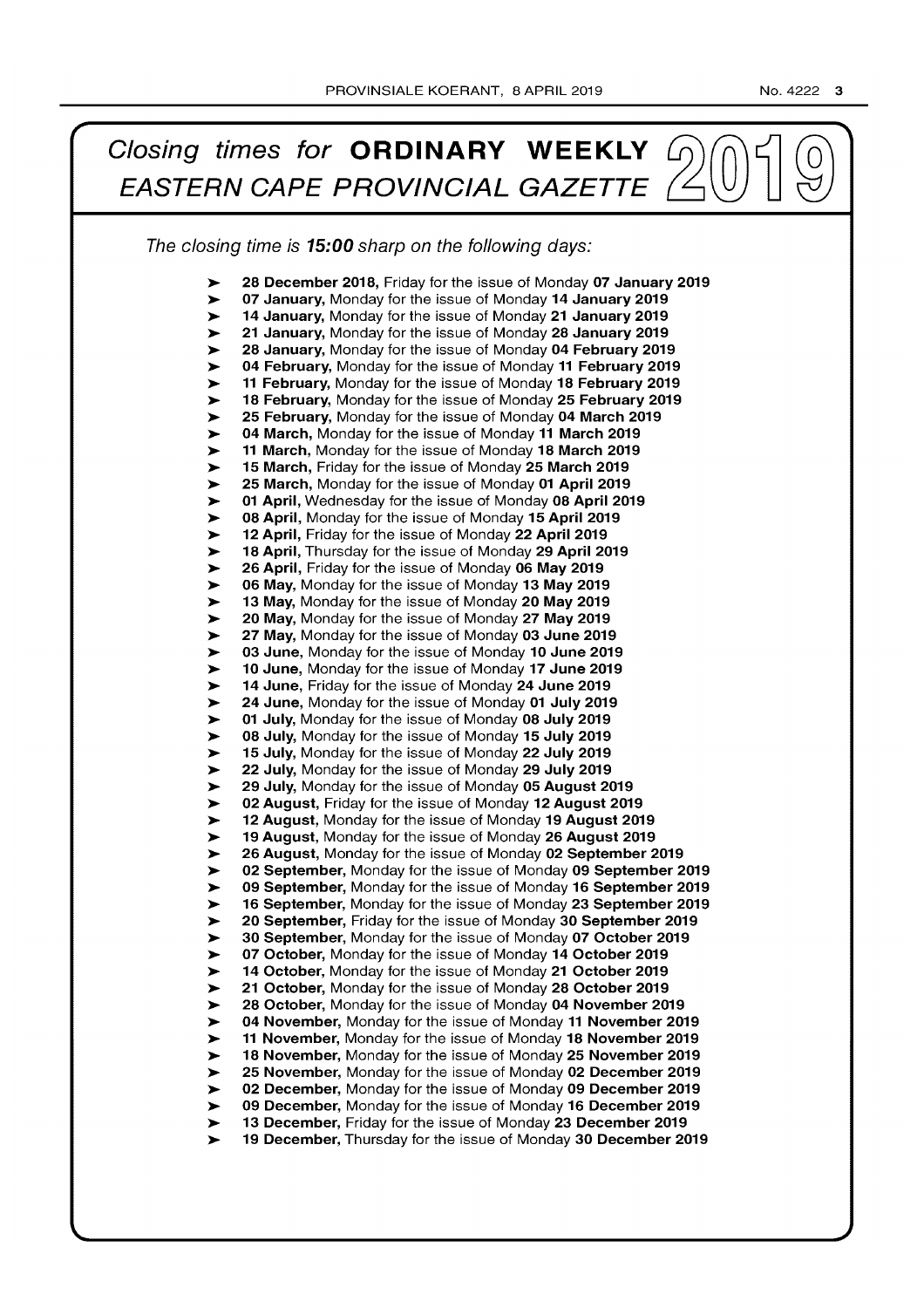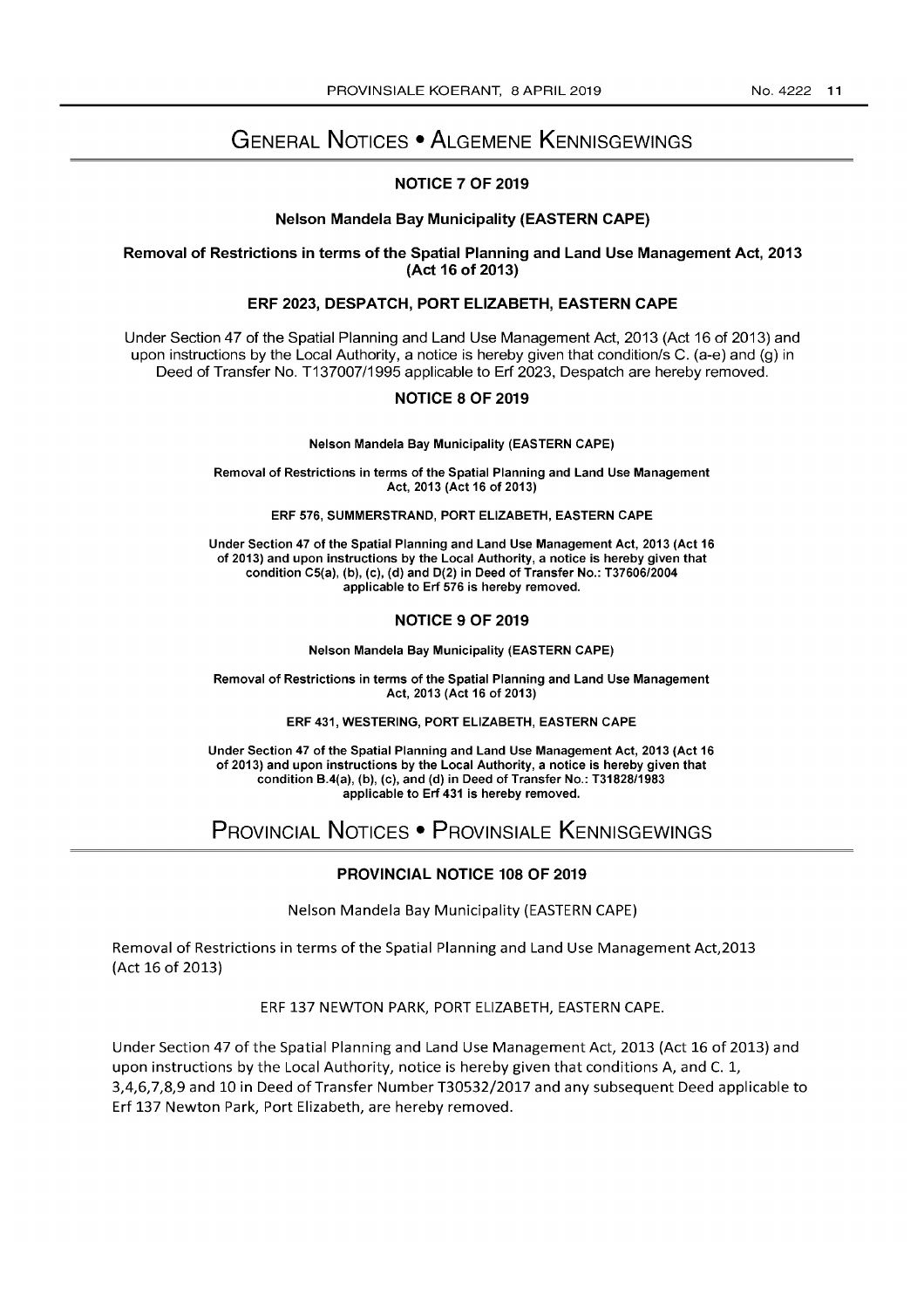# GENERAL NOTICES • ALGEMENE KENNISGEWINGS

# NOTICE 7 OF 2019

#### Nelson Mandela Bay Municipality (EASTERN CAPE)

#### Removal of Restrictions in terms of the Spatial Planning and Land Use Management Act, 2013 (Act 16 of 2013)

## ERF 2023, DESPATCH, PORT ELIZABETH, EASTERN CAPE

Under Section 47 of the Spatial Planning and Land Use Management Act, 2013 (Act 16 of 2013) and upon instructions by the Local Authority, a notice is hereby given that condition/s C. (a-e) and (g) in Deed of Transfer No. T137007/1995 applicable to Erf 2023, Despatch are hereby removed.

#### NOTICE 8 OF 2019

Nelson Mandela Bay Municipality (EASTERN CAPE)

Removal of Restrictions in terms of the Spatial Planning and Land Use Management Act, 2013 (Act 16 of 2013)

ERF 576, SUMMERSTRAND, PORT ELIZABETH, EASTERN CAPE

Under Section 47 of the Spatial Planning and Land Use Management Act, 2013 (Act 16 of 2013) and upon instructions by the Local Authority, a notice is hereby given that condition C5(a), (b), (c), (d) and D(2) in Deed of Transfer No.: *T37606/2004*  applicable to Erf 576 is hereby removed.

#### NOTICE 9 OF 2019

Nelson Mandela Bay Municipality (EASTERN CAPE)

Removal of Restrictions in terms of the Spatial Planning and Land Use Management Act, 2013 (Act 16 of 2013)

#### ERF 431, WESTERING, PORT ELIZABETH, EASTERN CAPE

Under Section 47 of the Spatial Planning and Land Use Management Act, 2013 (Act 16 of 2013) and upon instructions by the Local Authority, a notice is hereby given that condition B.4(a), (b), (c), and (d) in Deed of Transfer No.: *T31828/1983*  applicable to Erf 431 is hereby removed.

# PROVINCIAL NOTICES • PROVINSIALE KENNISGEWINGS

# PROVINCIAL NOTICE 108 OF 2019

Nelson Mandela Bay Municipality (EASTERN CAPE)

Removal of Restrictions in terms of the Spatial Planning and Land Use Management Act,2013 (Act 16 of 2013)

ERF 137 NEWTON PARK, PORT ELIZABETH, EASTERN CAPE.

Under Section 47 of the Spatial Planning and Land Use Management Act, 2013 (Act 16 of 2013) and upon instructions by the Local Authority, notice is hereby given that conditions A, and C. 1, 3,4,6,7,8,9 and 10 in Deed of Transfer Number 130532/2017 and any subsequent Deed applicable to Erf 137 Newton Park, Port Elizabeth, are hereby removed.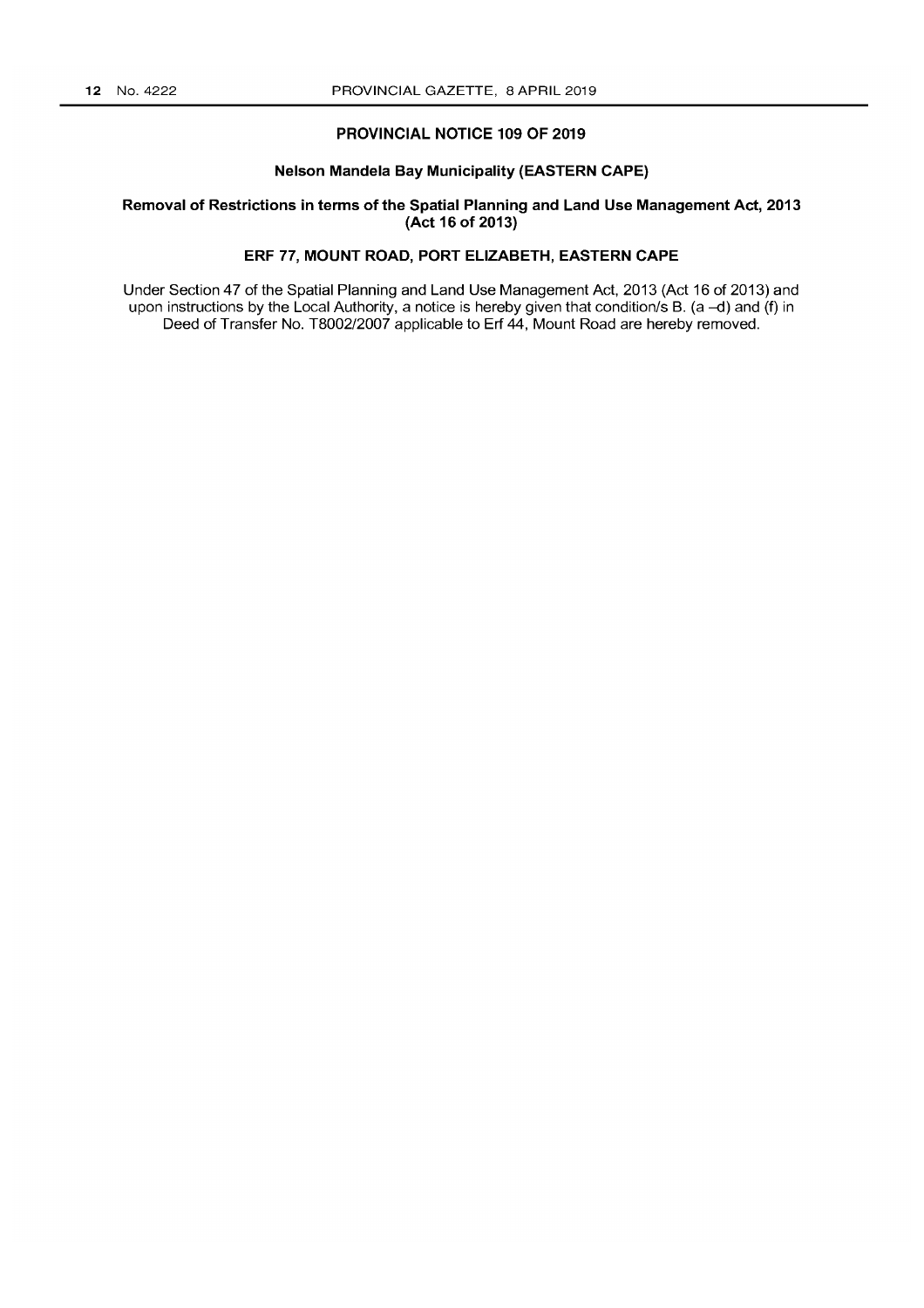# **PROVINCIAL NOTICE 109 OF 2019**

#### **Nelson Mandela Bay Municipality (EASTERN CAPE)**

#### **Removal of Restrictions in terms of the Spatial Planning and Land Use Management Act, 2013 (Act 16 of 2013)**

# **ERF 77, MOUNT ROAD, PORT ELIZABETH, EASTERN CAPE**

Under Section 47 of the Spatial Planning and Land Use Management Act, 2013 (Act 16 of 2013) and upon instructions by the Local Authority, a notice is hereby given that condition/s B. (a -d) and (f) in Deed of Transfer No. T8002/2007 applicable to **Erf** 44, Mount Road are hereby removed.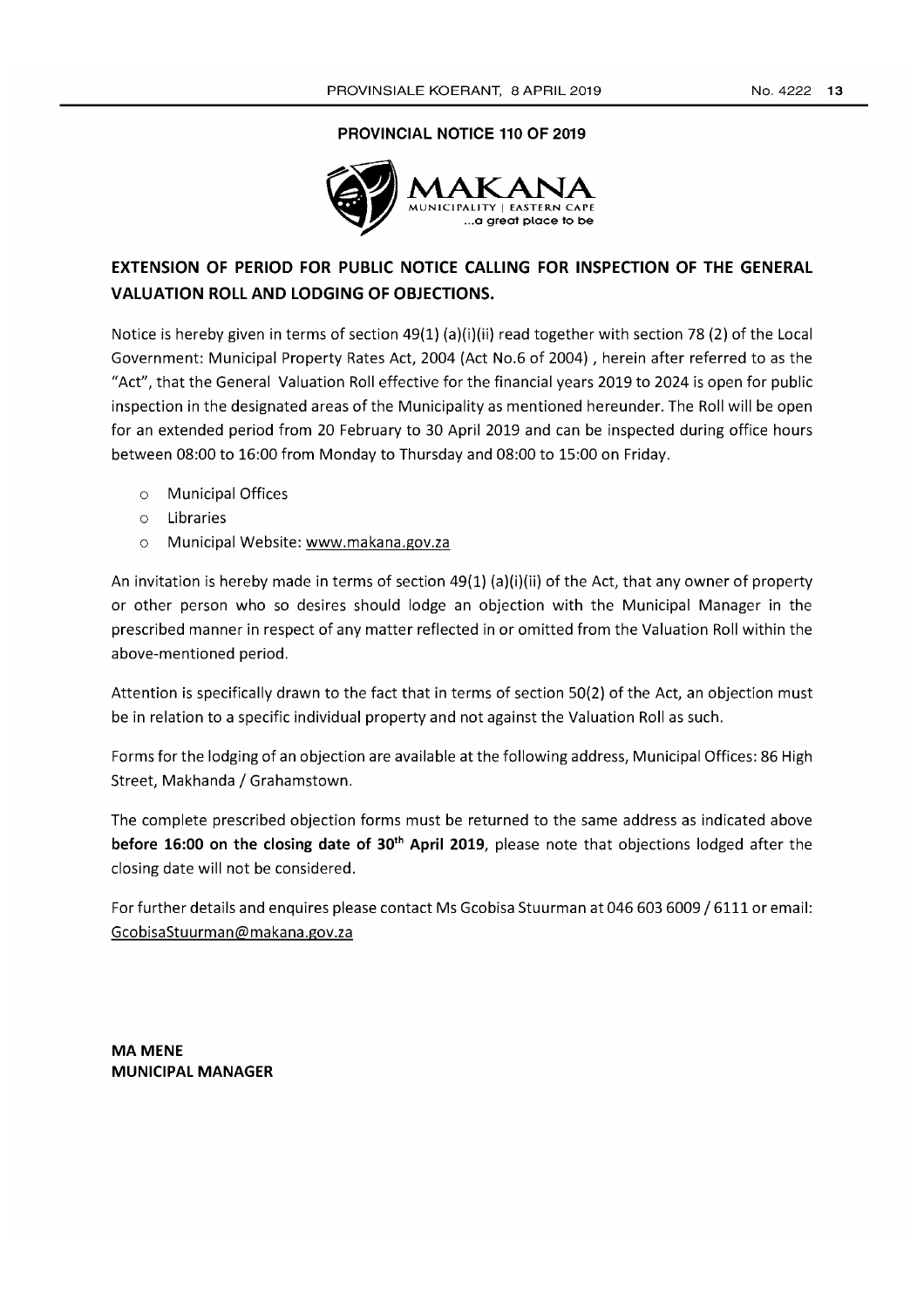### **PROVINCIAL NOTICE 110 OF 2019**



# **EXTENSION OF PERIOD FOR PUBLIC NOTICE CALLING FOR INSPECTION OF THE GENERAL VALUATION ROLL AND LODGING OF OBJECTIONS.**

Notice is hereby given in terms of section 49(1) (a)(i)(ii) read together with section 78 (2) of the Local Government: Municipal Property Rates Act, 2004 (Act NO.6 of 2004) , herein after referred to as the "Act", that the General Valuation Roll effective for the financial years 2019 to 2024 is open for public inspection in the designated areas of the Municipality as mentioned hereunder. The Roll will be open for an extended period from 20 February to 30 April 2019 and can be inspected during office hours between 08:00 to 16:00 from Monday to Thursday and 08:00 to 15:00 on Friday.

- o Municipal Offices
- o Libraries
- o Municipal Website: www.makana.gov.za

An invitation is hereby made in terms of section 49(1) (a)(i)(ii) of the Act, that any owner of property or other person who so desires should lodge an objection with the Municipal Manager in the prescribed manner in respect of any matter reflected in or omitted from the Valuation Roll within the above-mentioned period.

Attention is specifically drawn to the fact that in terms of section 50(2) of the Act, an objection must be in relation to a specific individual property and not against the Valuation Roll as such.

Forms for the lodging of an objection are available at the following address, Municipal Offices: 86 High Street, Makhanda / Grahamstown.

The complete prescribed objection forms must be returned to the same address as indicated above **before 16:00 on the closing date of 30<sup>th</sup> April 2019**, please note that objections lodged after the closing date will not be considered.

For further details and enquires please contact Ms Gcobisa Stuurman at 046 603 6009 / 6111 or email: GcobisaStuurman@makana.gov.za

**MAMENE MUNICIPAL MANAGER**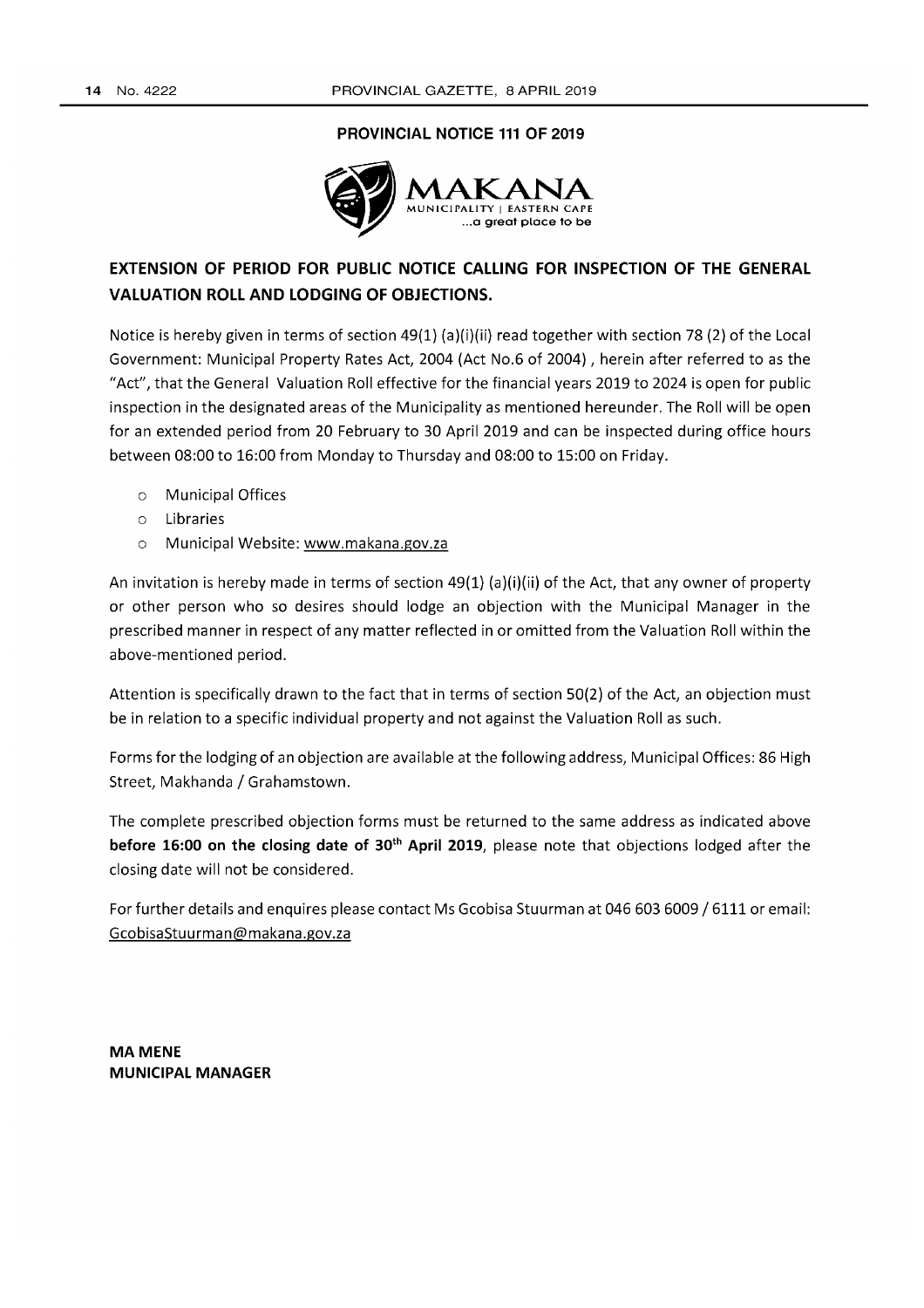# **PROVINCIAL NOTICE 111 OF 2019**



# **EXTENSION OF PERIOD FOR PUBLIC NOTICE CALLING FOR INSPECTION OF THE GENERAL VALUATION ROLL AND LODGING OF OBJECTIONS.**

Notice is hereby given in terms of section 49(1) (a)(i)(ii) read together with section 78 (2) of the Local Government: Municipal Property Rates Act, 2004 (Act No.6 of 2004), herein after referred to as the "Act", that the General Valuation Roll effective for the financial years 2019 to 2024 is open for public inspection in the designated areas of the Municipality as mentioned hereunder. The Roll will be open for an extended period from 20 February to 30 April 2019 and can be inspected during office hours between 08:00 to 16:00 from Monday to Thursday and 08:00 to 15:00 on Friday.

- o Municipal Offices
- o Libraries
- o Municipal Website: www.makana.gov.za

An invitation is hereby made in terms of section  $49(1)$  (a)(i)(ii) of the Act, that any owner of property or other person who so desires should lodge an objection with the Municipal Manager in the prescribed manner in respect of any matter reflected in or omitted from the Valuation Roll within the above-mentioned period.

Attention is specifically drawn to the fact that in terms of section 50(2) of the Act, an objection must be in relation to a specific individual property and not against the Valuation Roll as such.

Forms for the lodging of an objection are available at the following address, Municipal Offices: 86 High Street, Makhanda / Grahamstown.

The complete prescribed objection forms must be returned to the same address as indicated above **before 16:00 on the closing date of 30th April 2019,** please note that objections lodged after the closing date will not be considered.

For further details and enquires please contact Ms Gcobisa Stuurman at 0466036009/6111 or email: GcobisaStuurman@makana.gov.za

**MAMENE MUNICIPAL MANAGER**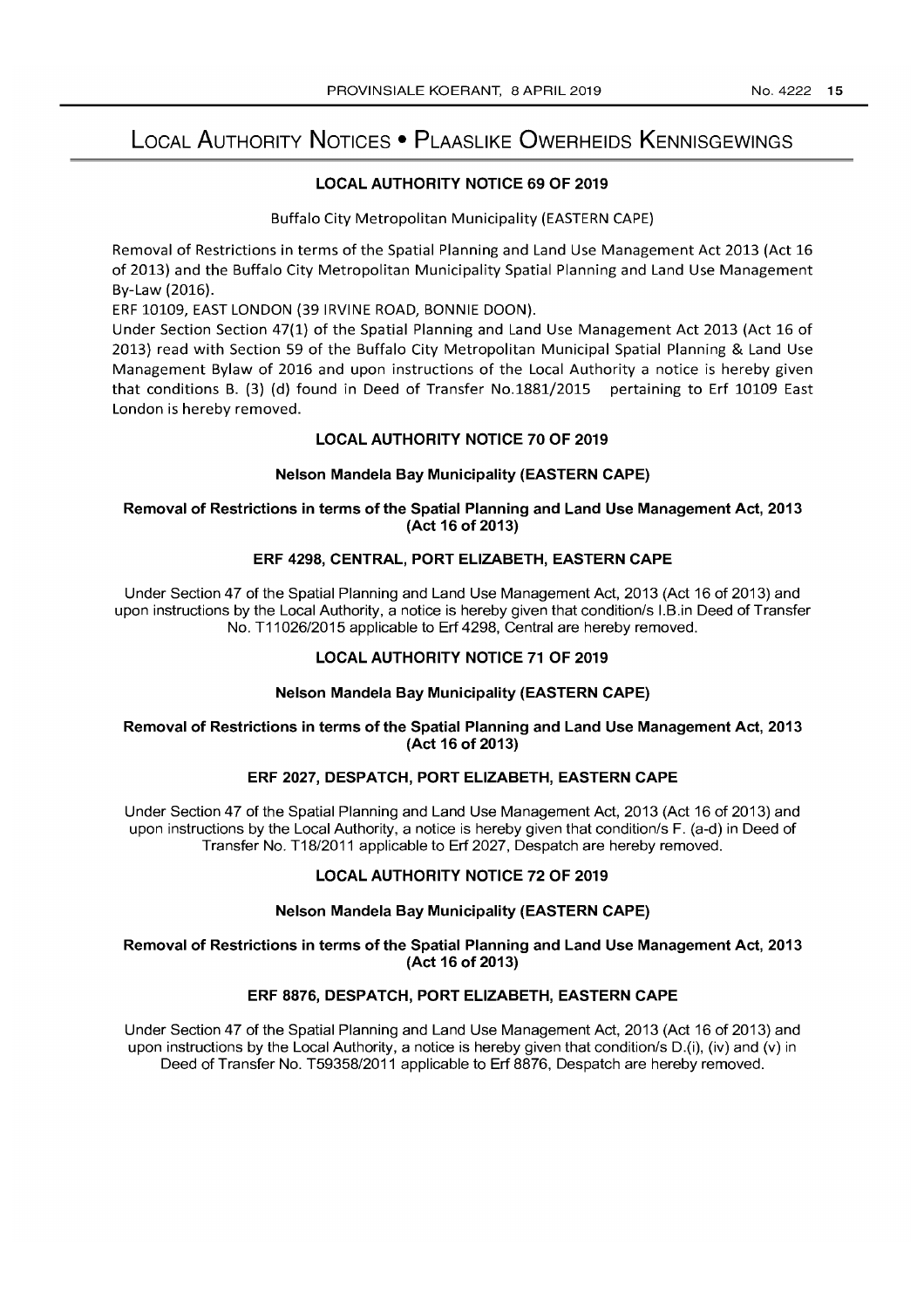# LOCAL AUTHORITY NOTICES • PLAASLIKE OWERHEIDS KENNISGEWINGS

# LOCAL AUTHORITY NOTICE 69 OF 2019

Buffalo City Metropolitan Municipality (EASTERN CAPE)

Removal of Restrictions in terms of the Spatial Planning and Land Use Management Act 2013 (Act 16 of 2013) and the Buffalo City Metropolitan Municipality Spatial Planning and Land Use Management By-Law (2016).

ERF 10109, EAST LONDON (39 IRVINE ROAD, BONNIE DOON).

Under Section Section 47(1) of the Spatial Planning and Land Use Management Act 2013 (Act 16 of 2013) read with Section 59 of the Buffalo City Metropolitan Municipal Spatial Planning & Land Use Management Bylaw of 2016 and upon instructions of the Local Authority a notice is hereby given that conditions B. (3) (d) found in Deed of Transfer No.1881/2015 pertaining to Erf 10109 East London is hereby removed.

# LOCAL AUTHORITY NOTICE 70 OF 2019

#### Nelson Mandela Bay Municipality (EASTERN CAPE)

### Removal of Restrictions in terms of the Spatial Planning and Land Use Management Act, 2013 (Act 16 of 2013)

# ERF 4298, CENTRAL, PORT ELIZABETH, EASTERN CAPE

Under Section 47 of the Spatial Planning and Land Use Management Act, 2013 (Act 16 of 2013) and upon instructions by the Local Authority, a notice is hereby given that condition/s I.B.in Deed of Transfer No. T11 026/2015 applicable to Erf 4298, Central are hereby removed.

# LOCAL AUTHORITY NOTICE 71 OF 2019

#### Nelson Mandela Bay Municipality (EASTERN CAPE)

#### Removal of Restrictions in terms of the Spatial Planning and Land Use Management Act, 2013 (Act 16 of 2013)

# ERF 2027, DESPATCH, PORT ELIZABETH, EASTERN CAPE

Under Section 47 of the Spatial Planning and Land Use Management Act, 2013 (Act 16 of 2013) and upon instructions by the Local Authority, a notice is hereby given that condition/s F. (a-d) in Deed of Transfer No. T18/2011 applicable to Erf 2027, Despatch are hereby removed.

# LOCAL AUTHORITY NOTICE 72 OF 2019

#### Nelson Mandela Bay Municipality (EASTERN CAPE)

#### Removal of Restrictions in terms of the Spatial Planning and Land Use Management Act, 2013 (Act 16 of 2013)

# ERF 8876, DESPATCH, PORT ELIZABETH, EASTERN CAPE

Under Section 47 of the Spatial Planning and Land Use Management Act, 2013 (Act 16 of 2013) and upon instructions by the Local Authority, a notice is hereby given that condition/s D.(i), (iv) and (v) in Deed of Transfer No. T59358/2011 applicable to Erf 8876, Despatch are hereby removed.